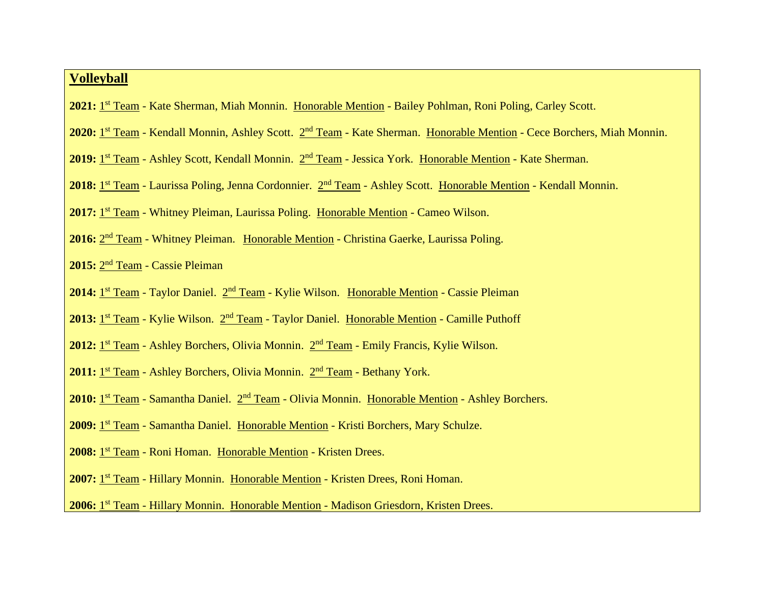## **Volleyball**

- 2021: 1<sup>st</sup> Team Kate Sherman, Miah Monnin. Honorable Mention Bailey Pohlman, Roni Poling, Carley Scott.
- 2020: 1<sup>st</sup> Team Kendall Monnin, Ashley Scott. 2<sup>nd</sup> Team Kate Sherman. Honorable Mention Cece Borchers, Miah Monnin.
- 2019: 1<sup>st</sup> Team Ashley Scott, Kendall Monnin. 2<sup>nd</sup> Team Jessica York. Honorable Mention Kate Sherman.
- 2018: 1<sup>st</sup> Team Laurissa Poling, Jenna Cordonnier. 2<sup>nd</sup> Team Ashley Scott. Honorable Mention Kendall Monnin.
- 2017: 1<sup>st</sup> Team Whitney Pleiman, Laurissa Poling. Honorable Mention Cameo Wilson.
- 2016: 2<sup>nd</sup> Team Whitney Pleiman. Honorable Mention Christina Gaerke, Laurissa Poling.
- 2015: 2<sup>nd</sup> Team Cassie Pleiman
- 2014: <u>1<sup>st</sup> Team</u> Taylor Daniel. 2<sup>nd</sup> Team Kylie Wilson. Honorable Mention Cassie Pleiman
- 2013: 1<sup>st</sup> Team Kylie Wilson. 2<sup>nd</sup> Team Taylor Daniel. Honorable Mention Camille Puthoff
- 2012: 1<sup>st</sup> Team Ashley Borchers, Olivia Monnin. 2<sup>nd</sup> Team Emily Francis, Kylie Wilson.
- 2011: 1<sup>st</sup> Team Ashley Borchers, Olivia Monnin. 2<sup>nd</sup> Team Bethany York.
- 2010: 1<sup>st</sup> Team Samantha Daniel. 2<sup>nd</sup> Team Olivia Monnin. Honorable Mention Ashley Borchers.
- 2009: 1<sup>st</sup> Team Samantha Daniel. Honorable Mention Kristi Borchers, Mary Schulze.
- 2008: 1<sup>st</sup> Team Roni Homan. Honorable Mention Kristen Drees.
- 2007: 1<sup>st</sup> Team Hillary Monnin. Honorable Mention Kristen Drees, Roni Homan.
- 2006: 1<sup>st</sup> Team Hillary Monnin. Honorable Mention Madison Griesdorn, Kristen Drees.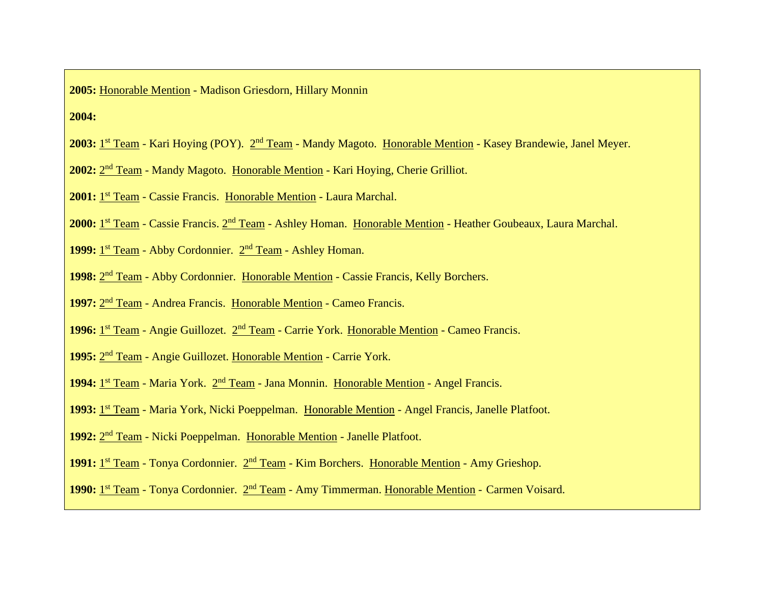**2005:** Honorable Mention - Madison Griesdorn, Hillary Monnin

**2004:**

- 2003: 1st Team Kari Hoying (POY). 2<sup>nd</sup> Team Mandy Magoto. Honorable Mention Kasey Brandewie, Janel Meyer.
- 2002: 2<sup>nd</sup> Team Mandy Magoto. Honorable Mention Kari Hoying, Cherie Grilliot.
- 2001: 1<sup>st</sup> Team Cassie Francis. Honorable Mention Laura Marchal.
- 2000: 1st Team Cassie Francis. 2<sup>nd</sup> Team Ashley Homan. Honorable Mention Heather Goubeaux, Laura Marchal.
- 1999: <sup>1st</sup> Team Abby Cordonnier. 2<sup>nd</sup> Team Ashley Homan.
- 1998: 2<sup>nd</sup> Team Abby Cordonnier. Honorable Mention Cassie Francis, Kelly Borchers.
- 1997: 2<sup>nd</sup> Team Andrea Francis. Honorable Mention Cameo Francis.
- 1996: 1<sup>st</sup> Team Angie Guillozet. 2<sup>nd</sup> Team Carrie York. Honorable Mention Cameo Francis.
- 1995: 2<sup>nd</sup> Team Angie Guillozet. Honorable Mention Carrie York.
- 1994: 1<sup>st</sup> Team Maria York. 2<sup>nd</sup> Team Jana Monnin. Honorable Mention Angel Francis.
- 1993: 1<sup>st</sup> Team Maria York, Nicki Poeppelman. Honorable Mention Angel Francis, Janelle Platfoot.
- 1992: 2<sup>nd</sup> Team Nicki Poeppelman. Honorable Mention Janelle Platfoot.
- 1991: 1<sup>st</sup> Team Tonya Cordonnier. 2<sup>nd</sup> Team Kim Borchers. Honorable Mention Amy Grieshop.
- 1990: 1<sup>st</sup> Team Tonya Cordonnier. 2<sup>nd</sup> Team Amy Timmerman. Honorable Mention Carmen Voisard.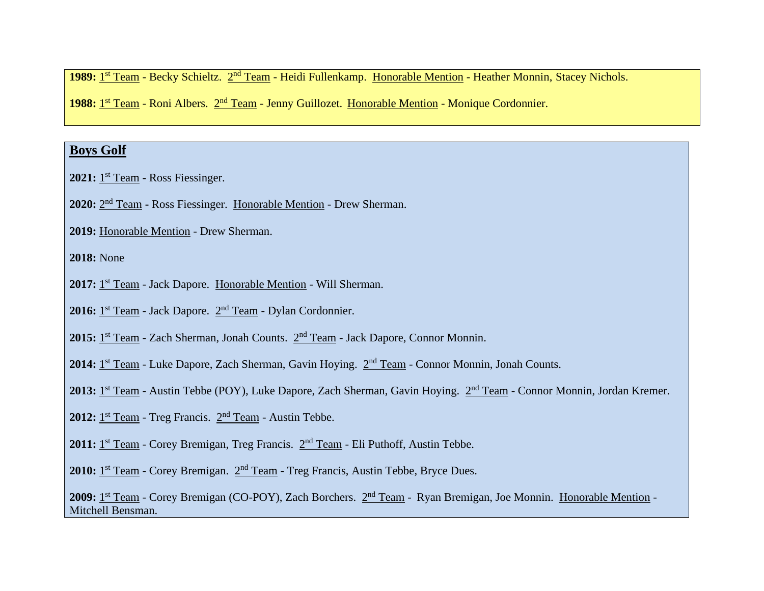1989: 1<sup>st</sup> Team - Becky Schieltz. 2<sup>nd</sup> Team - Heidi Fullenkamp. Honorable Mention - Heather Monnin, Stacey Nichols.

1988: 1<sup>st</sup> Team - Roni Albers. 2<sup>nd</sup> Team - Jenny Guillozet. Honorable Mention - Monique Cordonnier.

# **Boys Golf**

**2021:** 1 st Team **-** Ross Fiessinger.

2020: 2<sup>nd</sup> Team - Ross Fiessinger. Honorable Mention - Drew Sherman.

**2019:** Honorable Mention - Drew Sherman.

**2018:** None

2017: 1<sup>st</sup> Team - Jack Dapore. Honorable Mention - Will Sherman.

2016: 1<sup>st</sup> Team - Jack Dapore. 2<sup>nd</sup> Team - Dylan Cordonnier.

2015: 1<sup>st</sup> Team - Zach Sherman, Jonah Counts. 2<sup>nd</sup> Team - Jack Dapore, Connor Monnin.

2014: 1<sup>st</sup> Team - Luke Dapore, Zach Sherman, Gavin Hoying. 2<sup>nd</sup> Team - Connor Monnin, Jonah Counts.

2013: 1<sup>st</sup> Team - Austin Tebbe (POY), Luke Dapore, Zach Sherman, Gavin Hoying. 2<sup>nd</sup> Team - Connor Monnin, Jordan Kremer.

2012: <sup>1st</sup> Team - Treg Francis. <sup>2nd</sup> Team - Austin Tebbe.

2011: <sup>1st</sup> Team - Corey Bremigan, Treg Francis. <sup>2nd</sup> Team - Eli Puthoff, Austin Tebbe.

2010: 1<sup>st</sup> Team - Corey Bremigan. 2<sup>nd</sup> Team - Treg Francis, Austin Tebbe, Bryce Dues.

2009: 1<sup>st</sup> Team - Corey Bremigan (CO-POY), Zach Borchers. 2<sup>nd</sup> Team - Ryan Bremigan, Joe Monnin. Honorable Mention -Mitchell Bensman.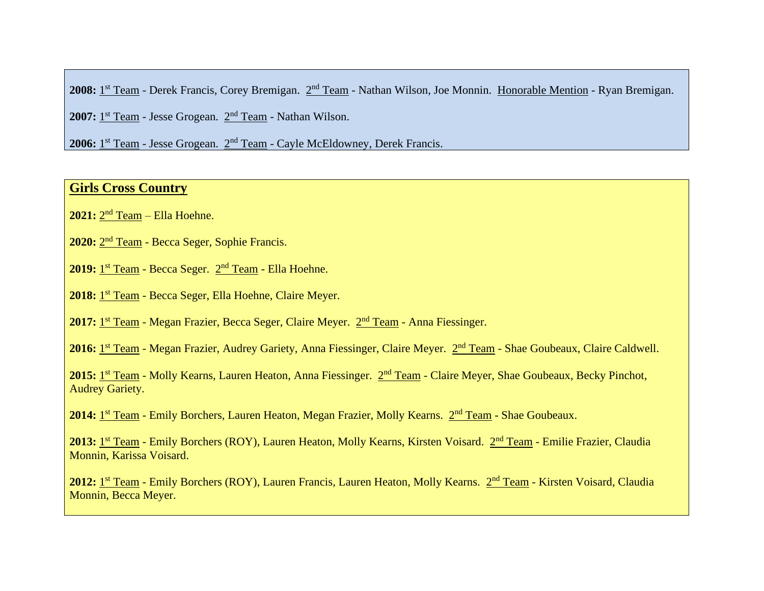2008: 1<sup>st</sup> Team - Derek Francis, Corey Bremigan. 2<sup>nd</sup> Team - Nathan Wilson, Joe Monnin. Honorable Mention - Ryan Bremigan.

2007: <sup>1st</sup> Team - Jesse Grogean. <sup>2nd</sup> Team - Nathan Wilson.

2006: 1<sup>st</sup> Team - Jesse Grogean. 2<sup>nd</sup> Team - Cayle McEldowney, Derek Francis.

### **Girls Cross Country**

**2021:** 2 nd Team – Ella Hoehne.

2020: 2<sup>nd</sup> Team - Becca Seger, Sophie Francis.

2019: <u>1<sup>st</sup> Team</u> - Becca Seger. 2<sup>nd</sup> Team - Ella Hoehne.

2018: 1<sup>st</sup> Team - Becca Seger, Ella Hoehne, Claire Meyer.

2017: 1<sup>st</sup> Team - Megan Frazier, Becca Seger, Claire Meyer. 2<sup>nd</sup> Team - Anna Fiessinger.

2016: 1st Team - Megan Frazier, Audrey Gariety, Anna Fiessinger, Claire Meyer. 2<sup>nd</sup> Team - Shae Goubeaux, Claire Caldwell.

2015: 1<sup>st</sup> Team - Molly Kearns, Lauren Heaton, Anna Fiessinger. 2nd Team - Claire Meyer, Shae Goubeaux, Becky Pinchot, Audrey Gariety.

2014: 1<sup>st</sup> Team - Emily Borchers, Lauren Heaton, Megan Frazier, Molly Kearns. 2<sup>nd</sup> Team - Shae Goubeaux.

2013: 1st Team - Emily Borchers (ROY), Lauren Heaton, Molly Kearns, Kirsten Voisard. 2<sup>nd</sup> Team - Emilie Frazier, Claudia Monnin, Karissa Voisard.

2012: 1st Team - Emily Borchers (ROY), Lauren Francis, Lauren Heaton, Molly Kearns. 2nd Team - Kirsten Voisard, Claudia Monnin, Becca Meyer.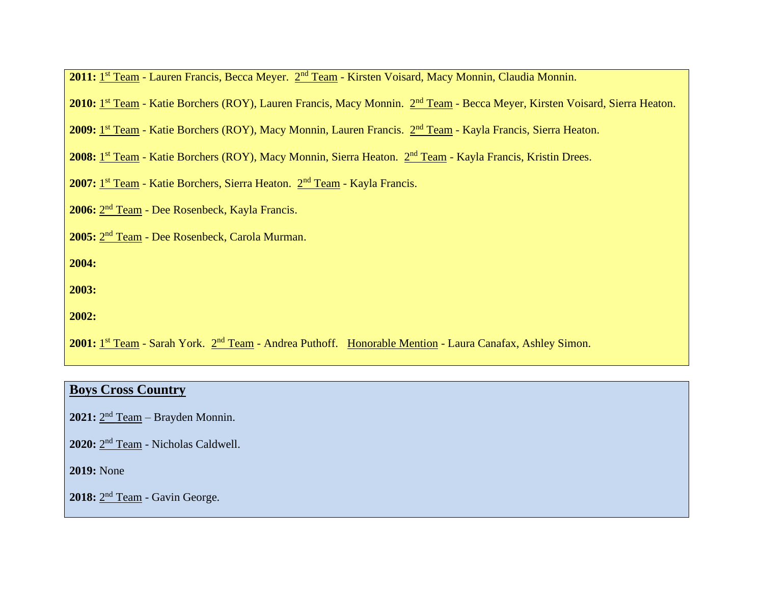| 2011: 1 <sup>st</sup> Team - Lauren Francis, Becca Meyer. 2 <sup>nd</sup> Team - Kirsten Voisard, Macy Monnin, Claudia Monnin. |  |  |
|--------------------------------------------------------------------------------------------------------------------------------|--|--|
|--------------------------------------------------------------------------------------------------------------------------------|--|--|

2010: 1<sup>st</sup> Team - Katie Borchers (ROY), Lauren Francis, Macy Monnin. 2<sup>nd</sup> Team - Becca Meyer, Kirsten Voisard, Sierra Heaton.

2009: 1st Team - Katie Borchers (ROY), Macy Monnin, Lauren Francis. 2nd Team - Kayla Francis, Sierra Heaton.

2008: 1st Team - Katie Borchers (ROY), Macy Monnin, Sierra Heaton. 2nd Team - Kayla Francis, Kristin Drees.

2007: 1<sup>st</sup> Team - Katie Borchers, Sierra Heaton. 2<sup>nd</sup> Team - Kayla Francis.

2006: 2<sup>nd</sup> Team - Dee Rosenbeck, Kayla Francis.

**2005:** 2 nd Team - Dee Rosenbeck, Carola Murman.

**2004:** 

**2003:** 

**2002:**

2001: 1<sup>st</sup> Team - Sarah York. 2<sup>nd</sup> Team - Andrea Puthoff. Honorable Mention - Laura Canafax, Ashley Simon.

### **Boys Cross Country**

2021: 2<sup>nd</sup> Team – Brayden Monnin.

2020: 2<sup>nd</sup> Team - Nicholas Caldwell.

**2019:** None

2018: 2<sup>nd</sup> Team - Gavin George.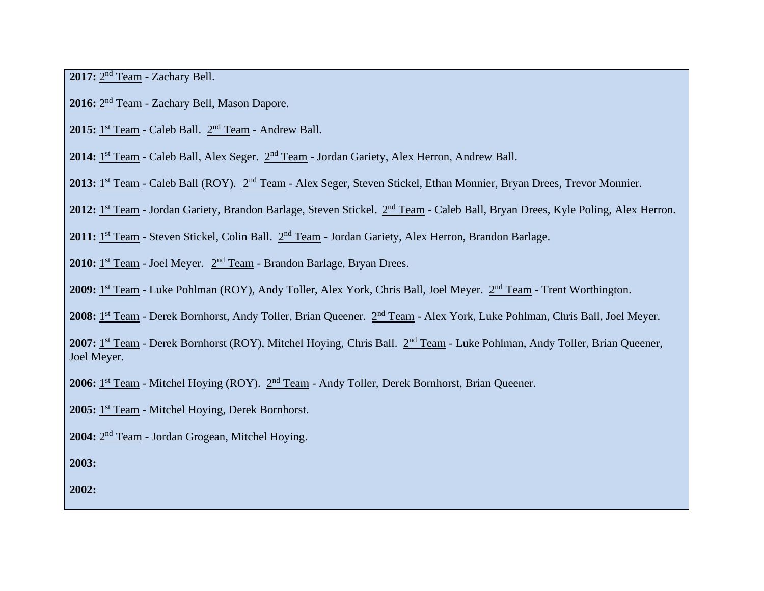2017: 2<sup>nd</sup> Team - Zachary Bell.

- 2016: 2<sup>nd</sup> Team Zachary Bell, Mason Dapore.
- 2015: 1<sup>st</sup> Team Caleb Ball. 2<sup>nd</sup> Team Andrew Ball.

2014: 1<sup>st</sup> Team - Caleb Ball, Alex Seger. 2<sup>nd</sup> Team - Jordan Gariety, Alex Herron, Andrew Ball.

2013: 1<sup>st</sup> Team - Caleb Ball (ROY). 2<sup>nd</sup> Team - Alex Seger, Steven Stickel, Ethan Monnier, Bryan Drees, Trevor Monnier.

2012: 1<sup>st</sup> Team - Jordan Gariety, Brandon Barlage, Steven Stickel. 2<sup>nd</sup> Team - Caleb Ball, Bryan Drees, Kyle Poling, Alex Herron.

2011: 1<sup>st</sup> Team - Steven Stickel, Colin Ball. 2<sup>nd</sup> Team - Jordan Gariety, Alex Herron, Brandon Barlage.

2010: 1<sup>st</sup> Team - Joel Meyer. 2<sup>nd</sup> Team - Brandon Barlage, Bryan Drees.

2009: 1<sup>st</sup> Team - Luke Pohlman (ROY), Andy Toller, Alex York, Chris Ball, Joel Meyer. 2<sup>nd</sup> Team - Trent Worthington.

2008: 1<sup>st</sup> Team - Derek Bornhorst, Andy Toller, Brian Queener. 2<sup>nd</sup> Team - Alex York, Luke Pohlman, Chris Ball, Joel Meyer.

2007: 1<sup>st</sup> Team - Derek Bornhorst (ROY), Mitchel Hoying, Chris Ball. 2<sup>nd</sup> Team - Luke Pohlman, Andy Toller, Brian Queener, Joel Meyer.

2006: 1<sup>st</sup> Team - Mitchel Hoying (ROY). 2<sup>nd</sup> Team - Andy Toller, Derek Bornhorst, Brian Queener.

2005: <sup>1st</sup> Team - Mitchel Hoying, Derek Bornhorst.

2004: 2<sup>nd</sup> Team - Jordan Grogean, Mitchel Hoying.

**2003:**

**2002:**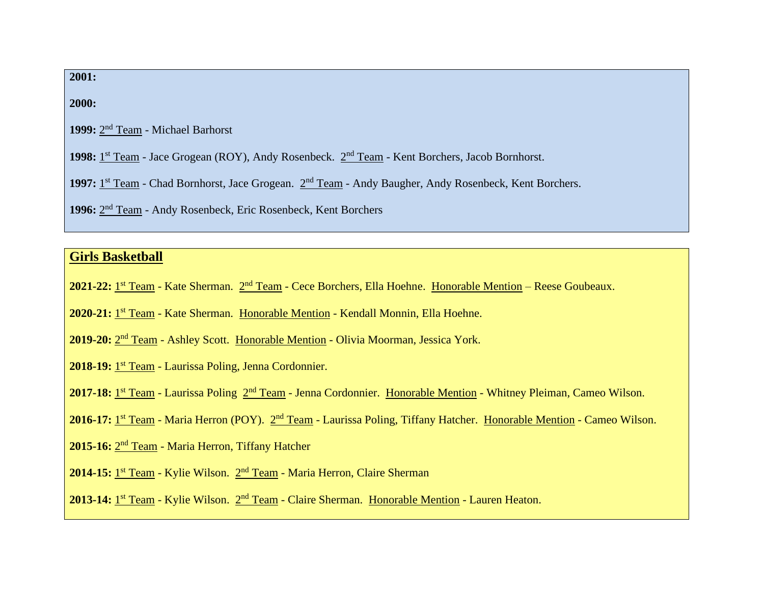**2001:** 

**2000:**

1999: 2<sup>nd</sup> Team - Michael Barhorst

1998: 1<sup>st</sup> Team - Jace Grogean (ROY), Andy Rosenbeck. 2<sup>nd</sup> Team - Kent Borchers, Jacob Bornhorst.

1997: 1<sup>st</sup> Team - Chad Bornhorst, Jace Grogean. 2<sup>nd</sup> Team - Andy Baugher, Andy Rosenbeck, Kent Borchers.

1996: 2<sup>nd</sup> Team - Andy Rosenbeck, Eric Rosenbeck, Kent Borchers

### **Girls Basketball**

2021-22: 1<sup>st</sup> Team - Kate Sherman. 2<sup>nd</sup> Team - Cece Borchers, Ella Hoehne. Honorable Mention – Reese Goubeaux.

2020-21: 1<sup>st</sup> Team - Kate Sherman. Honorable Mention - Kendall Monnin, Ella Hoehne.

2019-20: 2<sup>nd</sup> Team - Ashley Scott. Honorable Mention - Olivia Moorman, Jessica York.

2018-19: <sup>1st</sup> Team - Laurissa Poling, Jenna Cordonnier.

2017-18: 1<sup>st</sup> Team - Laurissa Poling 2<sup>nd</sup> Team - Jenna Cordonnier. Honorable Mention - Whitney Pleiman, Cameo Wilson.

2016-17: 1<sup>st</sup> Team - Maria Herron (POY). 2<sup>nd</sup> Team - Laurissa Poling, Tiffany Hatcher. Honorable Mention - Cameo Wilson.

2015-16: 2<sup>nd</sup> Team - Maria Herron, Tiffany Hatcher

2014-15: <sup>1st</sup> Team - Kylie Wilson. 2<sup>nd</sup> Team - Maria Herron, Claire Sherman

2013-14: 1<sup>st</sup> Team - Kylie Wilson. 2<sup>nd</sup> Team - Claire Sherman. Honorable Mention - Lauren Heaton.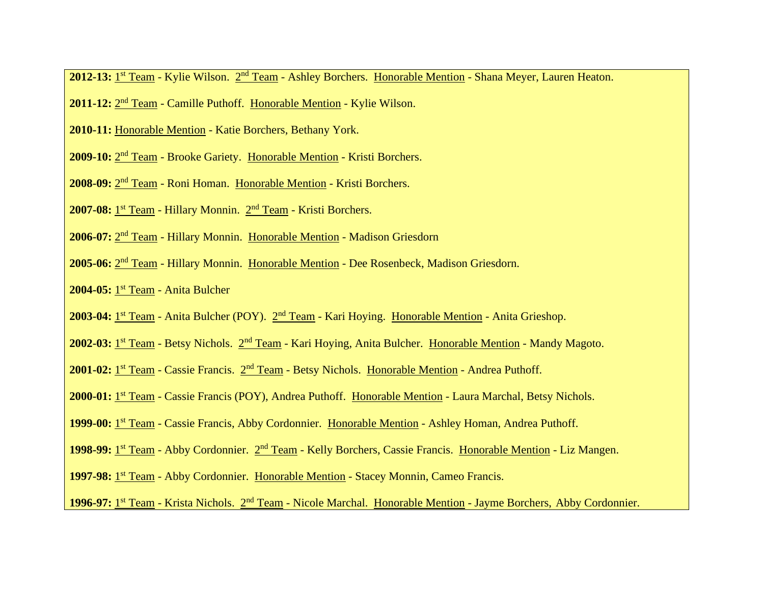2012-13: 1<sup>st</sup> Team - Kylie Wilson. 2<sup>nd</sup> Team - Ashley Borchers. Honorable Mention - Shana Meyer, Lauren Heaton.

- 2011-12: 2<sup>nd</sup> Team Camille Puthoff. Honorable Mention Kylie Wilson.
- **2010-11:** Honorable Mention Katie Borchers, Bethany York.
- 2009-10: 2<sup>nd</sup> Team Brooke Gariety. Honorable Mention Kristi Borchers.
- 2008-09: 2<sup>nd</sup> Team Roni Homan. Honorable Mention Kristi Borchers.
- 2007-08: 1<sup>st</sup> Team Hillary Monnin. 2<sup>nd</sup> Team Kristi Borchers.
- 2006-07: 2<sup>nd</sup> Team Hillary Monnin. Honorable Mention Madison Griesdorn
- 2005-06: 2<sup>nd</sup> Team Hillary Monnin. Honorable Mention Dee Rosenbeck, Madison Griesdorn.
- **2004-05:** 1 st Team Anita Bulcher
- 2003-04: 1<sup>st</sup> Team Anita Bulcher (POY). 2<sup>nd</sup> Team Kari Hoying. Honorable Mention Anita Grieshop.
- 2002-03: 1<sup>st</sup> Team Betsy Nichols. 2<sup>nd</sup> Team Kari Hoying, Anita Bulcher. Honorable Mention Mandy Magoto.
- 2001-02: 1<sup>st</sup> Team Cassie Francis. 2<sup>nd</sup> Team Betsy Nichols. Honorable Mention Andrea Puthoff.
- 2000-01: 1<sup>st</sup> Team Cassie Francis (POY), Andrea Puthoff. Honorable Mention Laura Marchal, Betsy Nichols.
- 1999-00: 1<sup>st</sup> Team Cassie Francis, Abby Cordonnier. Honorable Mention Ashley Homan, Andrea Puthoff.
- 1998-99: 1<sup>st</sup> Team Abby Cordonnier. 2<sup>nd</sup> Team Kelly Borchers, Cassie Francis. Honorable Mention Liz Mangen.
- 1997-98: 1<sup>st</sup> Team Abby Cordonnier. Honorable Mention Stacey Monnin, Cameo Francis.
- 1996-97: 1<sup>st</sup> Team Krista Nichols. 2<sup>nd</sup> Team Nicole Marchal. Honorable Mention Jayme Borchers, Abby Cordonnier.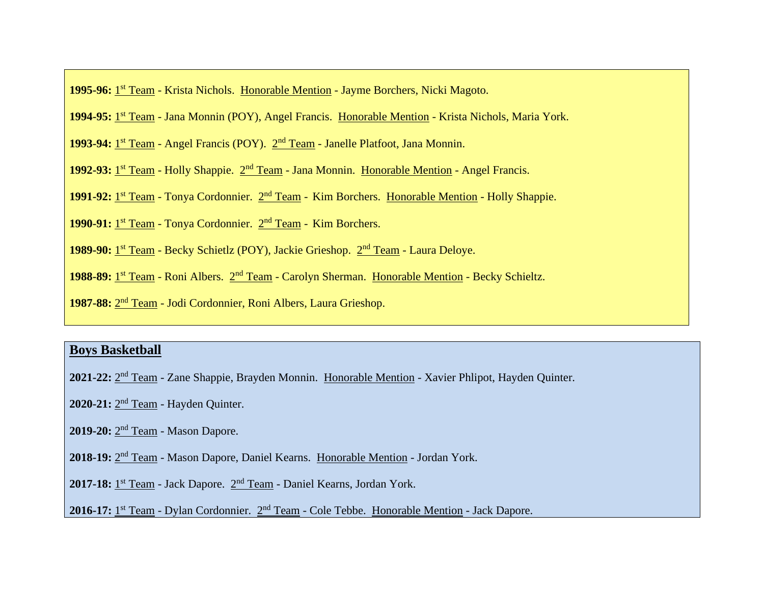1995-96: 1<sup>st</sup> Team - Krista Nichols. Honorable Mention - Jayme Borchers, Nicki Magoto.

1994-95: 1<sup>st</sup> Team - Jana Monnin (POY), Angel Francis. Honorable Mention - Krista Nichols, Maria York.

1993-94: 1<sup>st</sup> Team - Angel Francis (POY). 2<sup>nd</sup> Team - Janelle Platfoot, Jana Monnin.

1992-93: 1<sup>st</sup> Team - Holly Shappie. 2<sup>nd</sup> Team - Jana Monnin. Honorable Mention - Angel Francis.

1991-92: <sup>1st</sup> Team - Tonya Cordonnier. <sup>2nd</sup> Team - Kim Borchers. Honorable Mention - Holly Shappie.

1990-91: <sup>1st</sup> Team - Tonya Cordonnier. 2<sup>nd</sup> Team - Kim Borchers.

1989-90: 1<sup>st</sup> Team - Becky Schietlz (POY), Jackie Grieshop. 2<sup>nd</sup> Team - Laura Deloye.

1988-89: 1<sup>st</sup> Team - Roni Albers. 2<sup>nd</sup> Team - Carolyn Sherman. Honorable Mention - Becky Schieltz.

1987-88: 2<sup>nd</sup> Team - Jodi Cordonnier, Roni Albers, Laura Grieshop.

### **Boys Basketball**

2021-22: 2<sup>nd</sup> Team - Zane Shappie, Brayden Monnin. Honorable Mention - Xavier Phlipot, Hayden Quinter.

2020-21: 2<sup>nd</sup> Team - Hayden Quinter.

2019-20: 2<sup>nd</sup> Team - Mason Dapore.

2018-19: 2<sup>nd</sup> Team - Mason Dapore, Daniel Kearns. Honorable Mention - Jordan York.

2017-18: <sup>1st</sup> Team - Jack Dapore. <sup>2nd</sup> Team - Daniel Kearns, Jordan York.

2016-17: 1<sup>st</sup> Team - Dylan Cordonnier. 2<sup>nd</sup> Team - Cole Tebbe. Honorable Mention - Jack Dapore.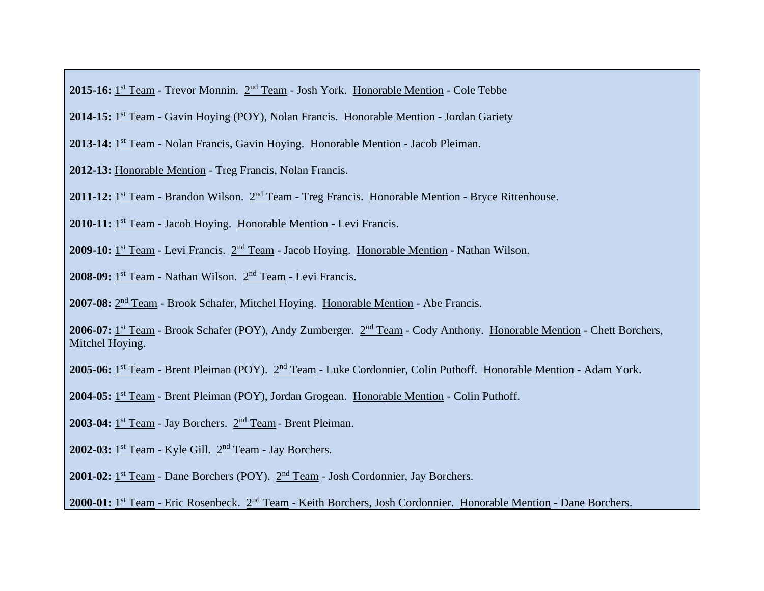2015-16: 1<sup>st</sup> Team - Trevor Monnin. 2<sup>nd</sup> Team - Josh York. Honorable Mention - Cole Tebbe

2014-15: 1<sup>st</sup> Team - Gavin Hoying (POY), Nolan Francis. Honorable Mention - Jordan Gariety

2013-14: <sup>1st</sup> Team - Nolan Francis, Gavin Hoying. Honorable Mention - Jacob Pleiman.

**2012-13:** Honorable Mention - Treg Francis, Nolan Francis.

2011-12: <sup>1st</sup> Team - Brandon Wilson. <sup>2nd</sup> Team - Treg Francis. Honorable Mention - Bryce Rittenhouse.

2010-11: <sup>1st</sup> Team - Jacob Hoying. Honorable Mention - Levi Francis.

2009-10: 1<sup>st</sup> Team - Levi Francis. 2<sup>nd</sup> Team - Jacob Hoying. Honorable Mention - Nathan Wilson.

2008-09: <sup>1st</sup> Team - Nathan Wilson. <sup>2nd</sup> Team - Levi Francis.

2007-08: 2<sup>nd</sup> Team - Brook Schafer, Mitchel Hoying. Honorable Mention - Abe Francis.

2006-07: 1<sup>st</sup> Team - Brook Schafer (POY), Andy Zumberger. 2<sup>nd</sup> Team - Cody Anthony. Honorable Mention - Chett Borchers, Mitchel Hoying.

2005-06: 1<sup>st</sup> Team - Brent Pleiman (POY). 2<sup>nd</sup> Team - Luke Cordonnier, Colin Puthoff. Honorable Mention - Adam York.

2004-05: <sup>1st</sup> Team - Brent Pleiman (POY), Jordan Grogean. Honorable Mention - Colin Puthoff.

2003-04: <sup>1st</sup> Team - Jay Borchers. <sup>2nd</sup> Team - Brent Pleiman.

2002-03: <sup>1st</sup> Team - Kyle Gill. <sup>2nd</sup> Team - Jay Borchers.

2001-02: <sup>1st</sup> Team - Dane Borchers (POY). <sup>2nd</sup> Team - Josh Cordonnier, Jay Borchers.

2000-01: 1<sup>st</sup> Team - Eric Rosenbeck. 2<sup>nd</sup> Team - Keith Borchers, Josh Cordonnier. Honorable Mention - Dane Borchers.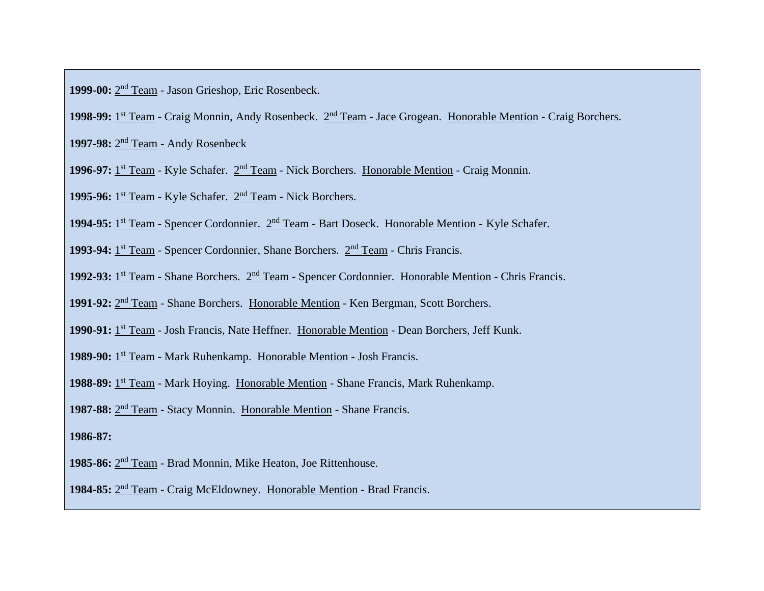1999-00: 2<sup>nd</sup> Team - Jason Grieshop, Eric Rosenbeck.

1998-99: 1<sup>st</sup> Team - Craig Monnin, Andy Rosenbeck. 2<sup>nd</sup> Team - Jace Grogean. Honorable Mention - Craig Borchers.

1997-98: 2<sup>nd</sup> Team - Andy Rosenbeck

1996-97: <sup>1st</sup> Team - Kyle Schafer.  $2<sup>nd</sup>$  Team - Nick Borchers. Honorable Mention - Craig Monnin.

1995-96: <sup>1st</sup> Team - Kyle Schafer. <sup>2nd</sup> Team - Nick Borchers.

1994-95: <sup>1st</sup> Team - Spencer Cordonnier. <sup>2nd</sup> Team - Bart Doseck. Honorable Mention - Kyle Schafer.

1993-94: <sup>1st</sup> Team - Spencer Cordonnier, Shane Borchers.  $2<sup>nd</sup>$  Team - Chris Francis.

1992-93: 1<sup>st</sup> Team - Shane Borchers. 2<sup>nd</sup> Team - Spencer Cordonnier. Honorable Mention - Chris Francis.

1991-92: 2<sup>nd</sup> Team - Shane Borchers. Honorable Mention - Ken Bergman, Scott Borchers.

1990-91: <sup>1st</sup> Team - Josh Francis, Nate Heffner. Honorable Mention - Dean Borchers, Jeff Kunk.

1989-90: 1<sup>st</sup> Team - Mark Ruhenkamp. Honorable Mention - Josh Francis.

1988-89: 1<sup>st</sup> Team - Mark Hoying. Honorable Mention - Shane Francis, Mark Ruhenkamp.

1987-88: 2<sup>nd</sup> Team - Stacy Monnin. Honorable Mention - Shane Francis.

**1986-87:**

1985-86: 2<sup>nd</sup> Team - Brad Monnin, Mike Heaton, Joe Rittenhouse.

1984-85: 2<sup>nd</sup> Team - Craig McEldowney. Honorable Mention - Brad Francis.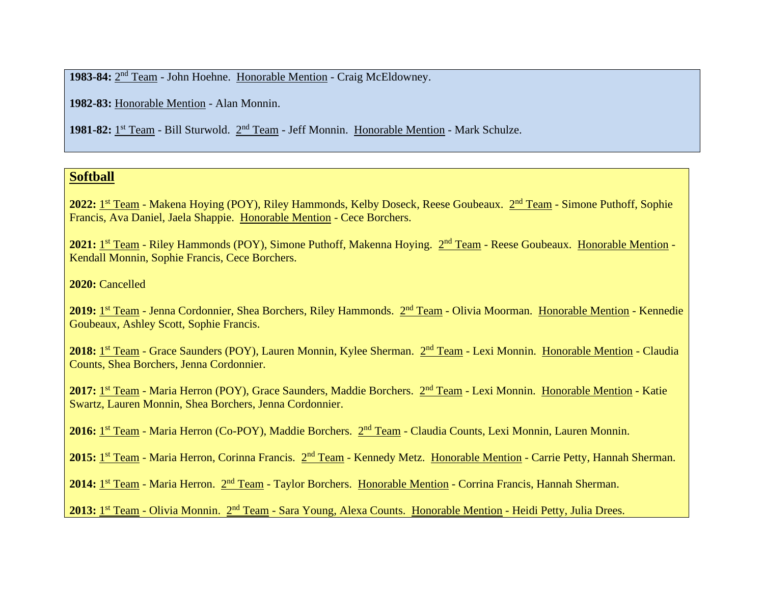1983-84: 2<sup>nd</sup> Team - John Hoehne. Honorable Mention - Craig McEldowney.

**1982-83:** Honorable Mention - Alan Monnin.

1981-82: 1<sup>st</sup> Team - Bill Sturwold. 2<sup>nd</sup> Team - Jeff Monnin. Honorable Mention - Mark Schulze.

## **Softball**

2022: 1st Team - Makena Hoying (POY), Riley Hammonds, Kelby Doseck, Reese Goubeaux. 2<sup>nd</sup> Team - Simone Puthoff, Sophie Francis, Ava Daniel, Jaela Shappie. Honorable Mention - Cece Borchers.

2021: 1st Team - Riley Hammonds (POY), Simone Puthoff, Makenna Hoying. 2nd Team - Reese Goubeaux. Honorable Mention -Kendall Monnin, Sophie Francis, Cece Borchers.

**2020:** Cancelled

2019: 1st Team - Jenna Cordonnier, Shea Borchers, Riley Hammonds. 2nd Team - Olivia Moorman. Honorable Mention - Kennedie Goubeaux, Ashley Scott, Sophie Francis.

2018: 1<sup>st</sup> Team - Grace Saunders (POY), Lauren Monnin, Kylee Sherman. 2<sup>nd</sup> Team - Lexi Monnin. Honorable Mention - Claudia Counts, Shea Borchers, Jenna Cordonnier.

2017: 1<sup>st</sup> Team - Maria Herron (POY), Grace Saunders, Maddie Borchers. 2<sup>nd</sup> Team - Lexi Monnin. Honorable Mention - Katie Swartz, Lauren Monnin, Shea Borchers, Jenna Cordonnier.

2016: <u>1st Team</u> - Maria Herron (Co-POY), Maddie Borchers. 2nd Team - Claudia Counts, Lexi Monnin, Lauren Monnin.

2015: <u>1st Team</u> - Maria Herron, Corinna Francis. 2nd Team - Kennedy Metz. Honorable Mention - Carrie Petty, Hannah Sherman.

2014: <u>1<sup>st</sup> Team</u> - Maria Herron. 2<sup>nd</sup> Team - Taylor Borchers. Honorable Mention - Corrina Francis, Hannah Sherman.

2013: 1<sup>st</sup> Team - Olivia Monnin. 2<sup>nd</sup> Team - Sara Young, Alexa Counts. Honorable Mention - Heidi Petty, Julia Drees.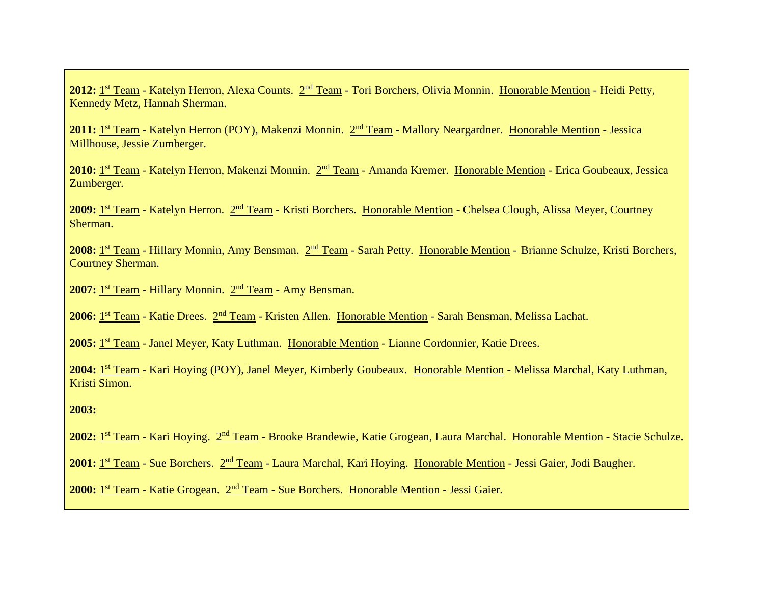2012: 1<sup>st</sup> Team - Katelyn Herron, Alexa Counts. 2<sup>nd</sup> Team - Tori Borchers, Olivia Monnin. Honorable Mention - Heidi Petty, Kennedy Metz, Hannah Sherman.

2011: 1<sup>st</sup> Team - Katelyn Herron (POY), Makenzi Monnin. 2<sup>nd</sup> Team - Mallory Neargardner. Honorable Mention - Jessica Millhouse, Jessie Zumberger.

2010: 1st Team - Katelyn Herron, Makenzi Monnin. 2<sup>nd</sup> Team - Amanda Kremer. Honorable Mention - Erica Goubeaux, Jessica Zumberger.

2009: 1st Team - Katelyn Herron. 2<sup>nd</sup> Team - Kristi Borchers. Honorable Mention - Chelsea Clough, Alissa Meyer, Courtney Sherman.

2008: 1<sup>st</sup> Team - Hillary Monnin, Amy Bensman. 2<sup>nd</sup> Team - Sarah Petty. Honorable Mention - Brianne Schulze, Kristi Borchers, Courtney Sherman.

2007: 1<sup>st</sup> Team - Hillary Monnin. 2<sup>nd</sup> Team - Amy Bensman.

2006: <u>1st Team</u> - Katie Drees. 2nd Team - Kristen Allen. Honorable Mention - Sarah Bensman, Melissa Lachat.

2005: 1<sup>st</sup> Team - Janel Meyer, Katy Luthman. Honorable Mention - Lianne Cordonnier, Katie Drees.

2004: 1st Team - Kari Hoying (POY), Janel Meyer, Kimberly Goubeaux. Honorable Mention - Melissa Marchal, Katy Luthman, Kristi Simon.

#### **2003:**

2002: <u>1st Team</u> - Kari Hoying. 2nd Team - Brooke Brandewie, Katie Grogean, Laura Marchal. Honorable Mention - Stacie Schulze.

2001: <u>1st Team</u> - Sue Borchers. 2<sup>nd</sup> Team - Laura Marchal, Kari Hoying. Honorable Mention - Jessi Gaier, Jodi Baugher.

2000: 1<sup>st</sup> Team - Katie Grogean. 2<sup>nd</sup> Team - Sue Borchers. Honorable Mention - Jessi Gaier.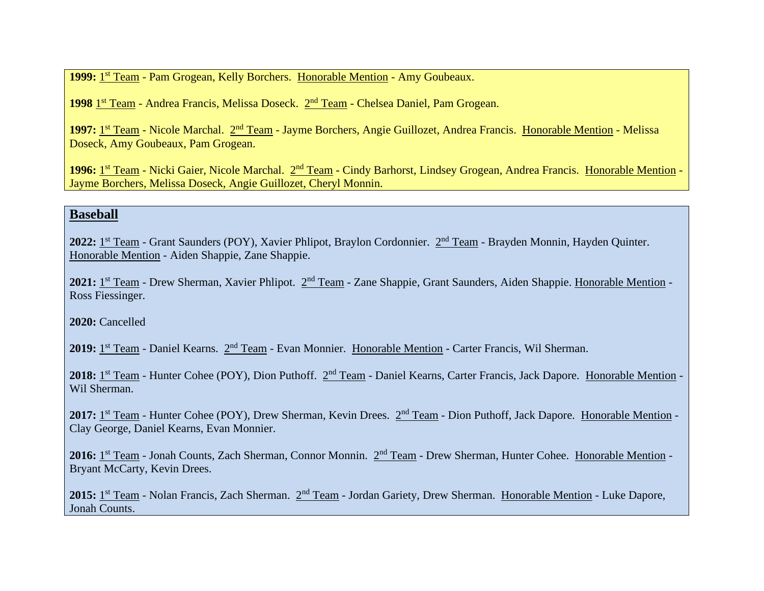1999: 1<sup>st</sup> Team - Pam Grogean, Kelly Borchers. Honorable Mention - Amy Goubeaux.

1998 1<sup>st</sup> Team - Andrea Francis, Melissa Doseck. 2<sup>nd</sup> Team - Chelsea Daniel, Pam Grogean.

1997: 1<sup>st</sup> Team - Nicole Marchal. 2<sup>nd</sup> Team - Jayme Borchers, Angie Guillozet, Andrea Francis. Honorable Mention - Melissa Doseck, Amy Goubeaux, Pam Grogean.

1996: 1<sup>st</sup> Team - Nicki Gaier, Nicole Marchal. 2<sup>nd</sup> Team - Cindy Barhorst, Lindsey Grogean, Andrea Francis. Honorable Mention -Jayme Borchers, Melissa Doseck, Angie Guillozet, Cheryl Monnin.

#### **Baseball**

2022: 1<sup>st</sup> Team - Grant Saunders (POY), Xavier Phlipot, Braylon Cordonnier. 2<sup>nd</sup> Team - Brayden Monnin, Hayden Quinter. Honorable Mention - Aiden Shappie, Zane Shappie.

2021: 1<sup>st</sup> Team - Drew Sherman, Xavier Phlipot. 2<sup>nd</sup> Team - Zane Shappie, Grant Saunders, Aiden Shappie. Honorable Mention -Ross Fiessinger.

2020: Cancelled

2019: 1<sup>st</sup> Team - Daniel Kearns. 2<sup>nd</sup> Team - Evan Monnier. Honorable Mention - Carter Francis, Wil Sherman.

2018: 1<sup>st</sup> Team - Hunter Cohee (POY), Dion Puthoff. 2<sup>nd</sup> Team - Daniel Kearns, Carter Francis, Jack Dapore. Honorable Mention -Wil Sherman.

2017: 1<sup>st</sup> Team - Hunter Cohee (POY), Drew Sherman, Kevin Drees. 2<sup>nd</sup> Team - Dion Puthoff, Jack Dapore. Honorable Mention -Clay George, Daniel Kearns, Evan Monnier.

2016: 1<sup>st</sup> Team - Jonah Counts, Zach Sherman, Connor Monnin. 2<sup>nd</sup> Team - Drew Sherman, Hunter Cohee. Honorable Mention -Bryant McCarty, Kevin Drees.

2015: 1<sup>st</sup> Team - Nolan Francis, Zach Sherman. 2<sup>nd</sup> Team - Jordan Gariety, Drew Sherman. Honorable Mention - Luke Dapore, Jonah Counts.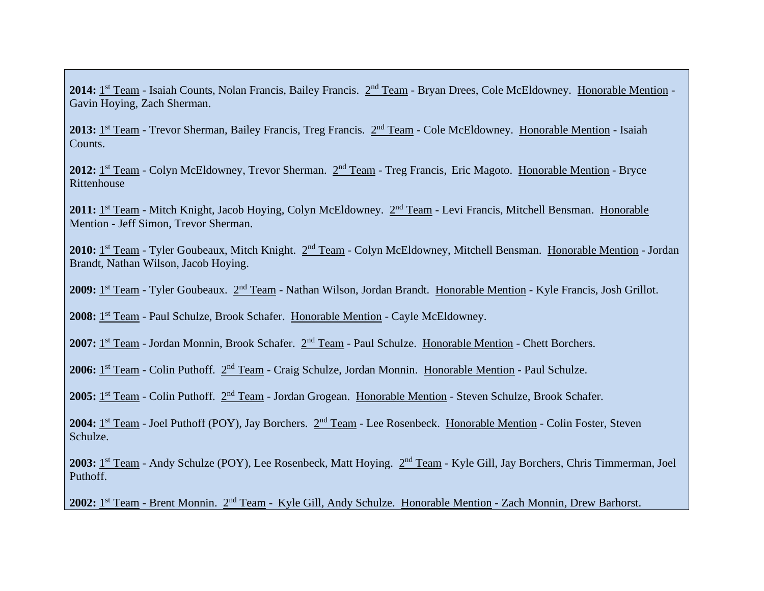2014: 1<sup>st</sup> Team - Isaiah Counts, Nolan Francis, Bailey Francis. 2<sup>nd</sup> Team - Bryan Drees, Cole McEldowney. Honorable Mention -Gavin Hoying, Zach Sherman.

2013: 1<sup>st</sup> Team - Trevor Sherman, Bailey Francis, Treg Francis. 2<sup>nd</sup> Team - Cole McEldowney. Honorable Mention - Isaiah Counts.

2012: 1<sup>st</sup> Team - Colyn McEldowney, Trevor Sherman. 2<sup>nd</sup> Team - Treg Francis, Eric Magoto. Honorable Mention - Bryce Rittenhouse

2011: 1<sup>st</sup> Team - Mitch Knight, Jacob Hoying, Colyn McEldowney. 2<sup>nd</sup> Team - Levi Francis, Mitchell Bensman. Honorable Mention - Jeff Simon, Trevor Sherman.

2010: 1<sup>st</sup> Team - Tyler Goubeaux, Mitch Knight. 2<sup>nd</sup> Team - Colyn McEldowney, Mitchell Bensman. Honorable Mention - Jordan Brandt, Nathan Wilson, Jacob Hoying.

2009: 1<sup>st</sup> Team - Tyler Goubeaux. 2<sup>nd</sup> Team - Nathan Wilson, Jordan Brandt. Honorable Mention - Kyle Francis, Josh Grillot.

2008: 1<sup>st</sup> Team - Paul Schulze, Brook Schafer. Honorable Mention - Cayle McEldowney.

2007: 1<sup>st</sup> Team - Jordan Monnin, Brook Schafer. 2<sup>nd</sup> Team - Paul Schulze. Honorable Mention - Chett Borchers.

2006: 1<sup>st</sup> Team - Colin Puthoff. 2<sup>nd</sup> Team - Craig Schulze, Jordan Monnin. Honorable Mention - Paul Schulze.

2005: 1<sup>st</sup> Team - Colin Puthoff. 2<sup>nd</sup> Team - Jordan Grogean. Honorable Mention - Steven Schulze, Brook Schafer.

2004: 1<sup>st</sup> Team - Joel Puthoff (POY), Jay Borchers. 2<sup>nd</sup> Team - Lee Rosenbeck. Honorable Mention - Colin Foster, Steven Schulze.

2003: 1<sup>st</sup> Team - Andy Schulze (POY), Lee Rosenbeck, Matt Hoying. 2<sup>nd</sup> Team - Kyle Gill, Jay Borchers, Chris Timmerman, Joel Puthoff.

2002: 1<sup>st</sup> Team - Brent Monnin. 2<sup>nd</sup> Team - Kyle Gill, Andy Schulze. Honorable Mention - Zach Monnin, Drew Barhorst.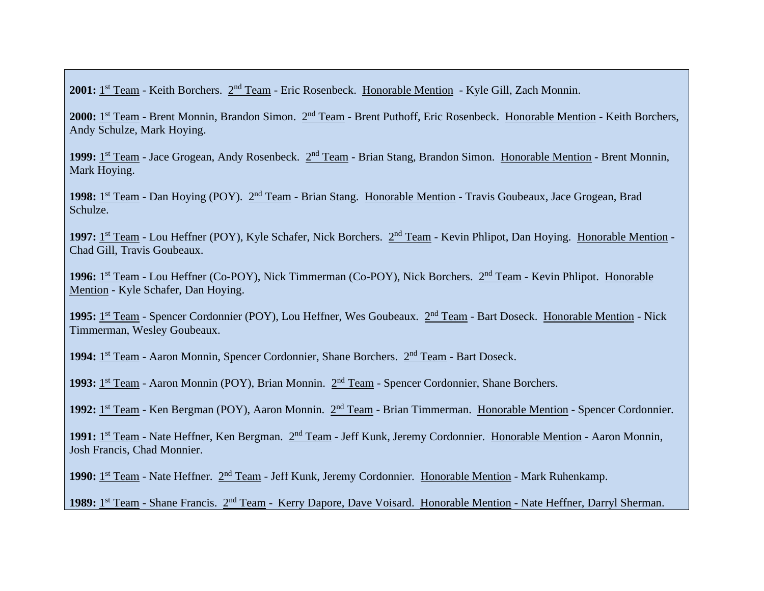2001: 1<sup>st</sup> Team - Keith Borchers. 2<sup>nd</sup> Team - Eric Rosenbeck. Honorable Mention - Kyle Gill, Zach Monnin.

2000: 1<sup>st</sup> Team - Brent Monnin, Brandon Simon. 2<sup>nd</sup> Team - Brent Puthoff, Eric Rosenbeck. Honorable Mention - Keith Borchers, Andy Schulze, Mark Hoying.

1999: 1<sup>st</sup> Team - Jace Grogean, Andy Rosenbeck. 2<sup>nd</sup> Team - Brian Stang, Brandon Simon. Honorable Mention - Brent Monnin, Mark Hoying.

1998: 1<sup>st</sup> Team - Dan Hoying (POY). 2<sup>nd</sup> Team - Brian Stang. Honorable Mention - Travis Goubeaux, Jace Grogean, Brad Schulze.

1997: 1<sup>st</sup> Team - Lou Heffner (POY), Kyle Schafer, Nick Borchers. 2<sup>nd</sup> Team - Kevin Phlipot, Dan Hoying. Honorable Mention -Chad Gill, Travis Goubeaux.

1996: 1<sup>st</sup> Team - Lou Heffner (Co-POY), Nick Timmerman (Co-POY), Nick Borchers. 2<sup>nd</sup> Team - Kevin Phlipot. Honorable Mention - Kyle Schafer, Dan Hoying.

1995: 1<sup>st</sup> Team - Spencer Cordonnier (POY), Lou Heffner, Wes Goubeaux. 2<sup>nd</sup> Team - Bart Doseck. Honorable Mention - Nick Timmerman, Wesley Goubeaux.

1994: 1<sup>st</sup> Team - Aaron Monnin, Spencer Cordonnier, Shane Borchers. 2<sup>nd</sup> Team - Bart Doseck.

1993: 1<sup>st</sup> Team - Aaron Monnin (POY), Brian Monnin. 2<sup>nd</sup> Team - Spencer Cordonnier, Shane Borchers.

1992: 1<sup>st</sup> Team - Ken Bergman (POY), Aaron Monnin. 2<sup>nd</sup> Team - Brian Timmerman. Honorable Mention - Spencer Cordonnier.

1991: 1<sup>st</sup> Team - Nate Heffner, Ken Bergman. 2<sup>nd</sup> Team - Jeff Kunk, Jeremy Cordonnier. Honorable Mention - Aaron Monnin, Josh Francis, Chad Monnier.

1990: 1<sup>st</sup> Team - Nate Heffner. 2<sup>nd</sup> Team - Jeff Kunk, Jeremy Cordonnier. Honorable Mention - Mark Ruhenkamp.

1989: 1<sup>st</sup> Team - Shane Francis. 2<sup>nd</sup> Team - Kerry Dapore, Dave Voisard. Honorable Mention - Nate Heffner, Darryl Sherman.